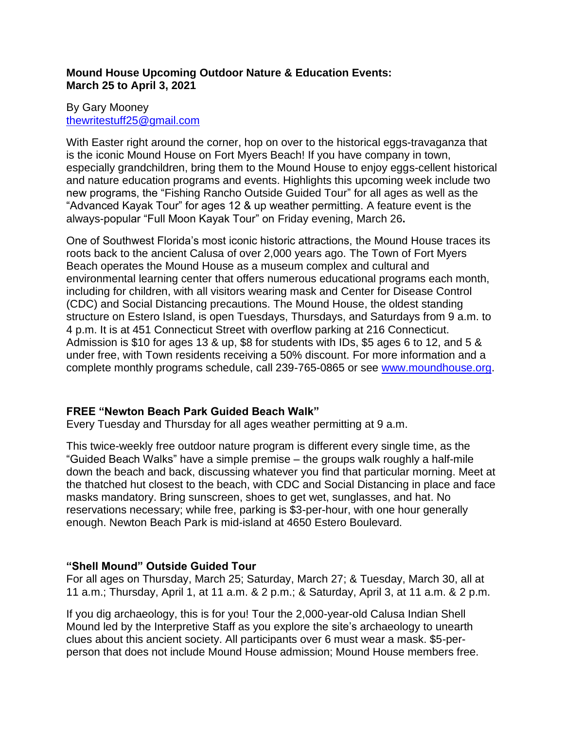### **Mound House Upcoming Outdoor Nature & Education Events: March 25 to April 3, 2021**

### By Gary Mooney [thewritestuff25@gmail.com](mailto:thewritestuff25@gmail.com)

With Easter right around the corner, hop on over to the historical eggs-travaganza that is the iconic Mound House on Fort Myers Beach! If you have company in town, especially grandchildren, bring them to the Mound House to enjoy eggs-cellent historical and nature education programs and events. Highlights this upcoming week include two new programs, the "Fishing Rancho Outside Guided Tour" for all ages as well as the "Advanced Kayak Tour" for ages 12 & up weather permitting. A feature event is the always-popular "Full Moon Kayak Tour" on Friday evening, March 26**.**

One of Southwest Florida's most iconic historic attractions, the Mound House traces its roots back to the ancient Calusa of over 2,000 years ago. The Town of Fort Myers Beach operates the Mound House as a museum complex and cultural and environmental learning center that offers numerous educational programs each month, including for children, with all visitors wearing mask and Center for Disease Control (CDC) and Social Distancing precautions. The Mound House, the oldest standing structure on Estero Island, is open Tuesdays, Thursdays, and Saturdays from 9 a.m. to 4 p.m. It is at 451 Connecticut Street with overflow parking at 216 Connecticut. Admission is \$10 for ages 13 & up, \$8 for students with IDs, \$5 ages 6 to 12, and 5 & under free, with Town residents receiving a 50% discount. For more information and a complete monthly programs schedule, call 239-765-0865 or see [www.moundhouse.org.](http://www.moundhouse.org/)

### **FREE "Newton Beach Park Guided Beach Walk"**

Every Tuesday and Thursday for all ages weather permitting at 9 a.m.

This twice-weekly free outdoor nature program is different every single time, as the "Guided Beach Walks" have a simple premise – the groups walk roughly a half-mile down the beach and back, discussing whatever you find that particular morning. Meet at the thatched hut closest to the beach, with CDC and Social Distancing in place and face masks mandatory. Bring sunscreen, shoes to get wet, sunglasses, and hat. No reservations necessary; while free, parking is \$3-per-hour, with one hour generally enough. Newton Beach Park is mid-island at 4650 Estero Boulevard.

# **"Shell Mound" Outside Guided Tour**

For all ages on Thursday, March 25; Saturday, March 27; & Tuesday, March 30, all at 11 a.m.; Thursday, April 1, at 11 a.m. & 2 p.m.; & Saturday, April 3, at 11 a.m. & 2 p.m.

If you dig archaeology, this is for you! Tour the 2,000-year-old Calusa Indian Shell Mound led by the Interpretive Staff as you explore the site's archaeology to unearth clues about this ancient society. All participants over 6 must wear a mask. \$5-perperson that does not include Mound House admission; Mound House members free.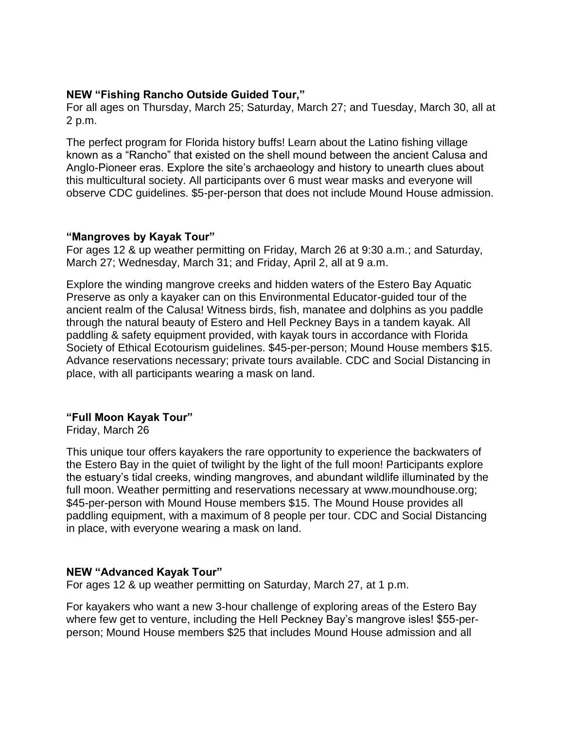### **NEW "Fishing Rancho Outside Guided Tour,"**

For all ages on Thursday, March 25; Saturday, March 27; and Tuesday, March 30, all at 2 p.m.

The perfect program for Florida history buffs! Learn about the Latino fishing village known as a "Rancho" that existed on the shell mound between the ancient Calusa and Anglo-Pioneer eras. Explore the site's archaeology and history to unearth clues about this multicultural society. All participants over 6 must wear masks and everyone will observe CDC guidelines. \$5-per-person that does not include Mound House admission.

### **"Mangroves by Kayak Tour"**

For ages 12 & up weather permitting on Friday, March 26 at 9:30 a.m.; and Saturday, March 27; Wednesday, March 31; and Friday, April 2, all at 9 a.m.

Explore the winding mangrove creeks and hidden waters of the Estero Bay Aquatic Preserve as only a kayaker can on this Environmental Educator-guided tour of the ancient realm of the Calusa! Witness birds, fish, manatee and dolphins as you paddle through the natural beauty of Estero and Hell Peckney Bays in a tandem kayak. All paddling & safety equipment provided, with kayak tours in accordance with Florida Society of Ethical Ecotourism guidelines. \$45-per-person; Mound House members \$15. Advance reservations necessary; private tours available. CDC and Social Distancing in place, with all participants wearing a mask on land.

# **"Full Moon Kayak Tour"**

Friday, March 26

This unique tour offers kayakers the rare opportunity to experience the backwaters of the Estero Bay in the quiet of twilight by the light of the full moon! Participants explore the estuary's tidal creeks, winding mangroves, and abundant wildlife illuminated by the full moon. Weather permitting and reservations necessary at www.moundhouse.org; \$45-per-person with Mound House members \$15. The Mound House provides all paddling equipment, with a maximum of 8 people per tour. CDC and Social Distancing in place, with everyone wearing a mask on land.

# **NEW "Advanced Kayak Tour"**

For ages 12 & up weather permitting on Saturday, March 27, at 1 p.m.

For kayakers who want a new 3-hour challenge of exploring areas of the Estero Bay where few get to venture, including the Hell Peckney Bay's mangrove isles! \$55-perperson; Mound House members \$25 that includes Mound House admission and all